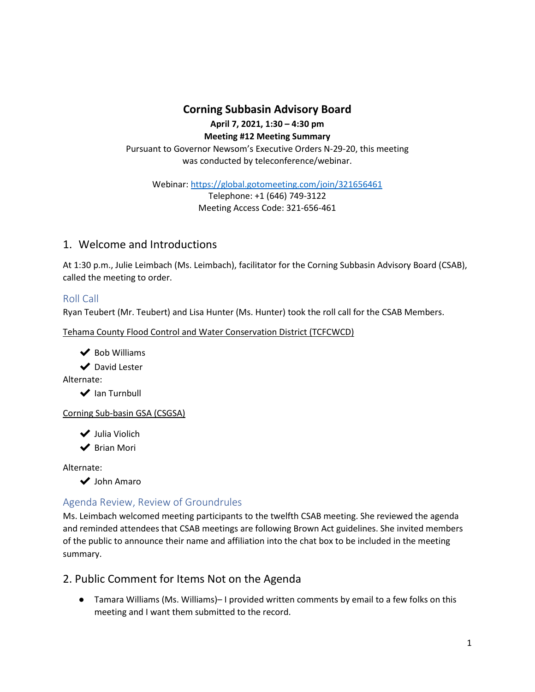**Corning Subbasin Advisory Board**

**April 7, 2021, 1:30 – 4:30 pm**

**Meeting #12 Meeting Summary** Pursuant to Governor Newsom's Executive Orders N-29-20, this meeting

was conducted by teleconference/webinar.

Webinar:<https://global.gotomeeting.com/join/321656461> Telephone: +1 (646) 749-3122

Meeting Access Code: 321-656-461

# 1. Welcome and Introductions

At 1:30 p.m., Julie Leimbach (Ms. Leimbach), facilitator for the Corning Subbasin Advisory Board (CSAB), called the meeting to order.

## Roll Call

Ryan Teubert (Mr. Teubert) and Lisa Hunter (Ms. Hunter) took the roll call for the CSAB Members.

Tehama County Flood Control and Water Conservation District (TCFCWCD)

◆ Bob Williams

**◆** David Lester

Alternate:

**◆** Ian Turnbull

Corning Sub-basin GSA (CSGSA)

✔ Julia Violich

✔ Brian Mori

Alternate:

✔ John Amaro

## Agenda Review, Review of Groundrules

Ms. Leimbach welcomed meeting participants to the twelfth CSAB meeting. She reviewed the agenda and reminded attendees that CSAB meetings are following Brown Act guidelines. She invited members of the public to announce their name and affiliation into the chat box to be included in the meeting summary.

## 2. Public Comment for Items Not on the Agenda

● Tamara Williams (Ms. Williams)– I provided written comments by email to a few folks on this meeting and I want them submitted to the record.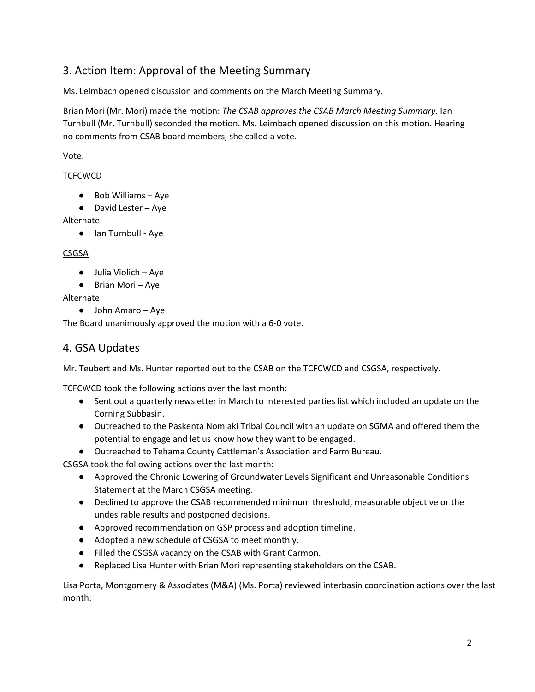# 3. Action Item: Approval of the Meeting Summary

Ms. Leimbach opened discussion and comments on the March Meeting Summary.

Brian Mori (Mr. Mori) made the motion: *The CSAB approves the CSAB March Meeting Summary*. Ian Turnbull (Mr. Turnbull) seconded the motion. Ms. Leimbach opened discussion on this motion. Hearing no comments from CSAB board members, she called a vote.

Vote:

### TCFCWCD

- Bob Williams Aye
- David Lester Aye

Alternate:

● Ian Turnbull - Aye

### CSGSA

- Julia Violich Aye
- Brian Mori Aye

Alternate:

● John Amaro – Aye

The Board unanimously approved the motion with a 6-0 vote.

## 4. GSA Updates

Mr. Teubert and Ms. Hunter reported out to the CSAB on the TCFCWCD and CSGSA, respectively.

TCFCWCD took the following actions over the last month:

- Sent out a quarterly newsletter in March to interested parties list which included an update on the Corning Subbasin.
- Outreached to the Paskenta Nomlaki Tribal Council with an update on SGMA and offered them the potential to engage and let us know how they want to be engaged.
- Outreached to Tehama County Cattleman's Association and Farm Bureau.

CSGSA took the following actions over the last month:

- Approved the Chronic Lowering of Groundwater Levels Significant and Unreasonable Conditions Statement at the March CSGSA meeting.
- Declined to approve the CSAB recommended minimum threshold, measurable objective or the undesirable results and postponed decisions.
- Approved recommendation on GSP process and adoption timeline.
- Adopted a new schedule of CSGSA to meet monthly.
- Filled the CSGSA vacancy on the CSAB with Grant Carmon.
- Replaced Lisa Hunter with Brian Mori representing stakeholders on the CSAB.

Lisa Porta, Montgomery & Associates (M&A) (Ms. Porta) reviewed interbasin coordination actions over the last month: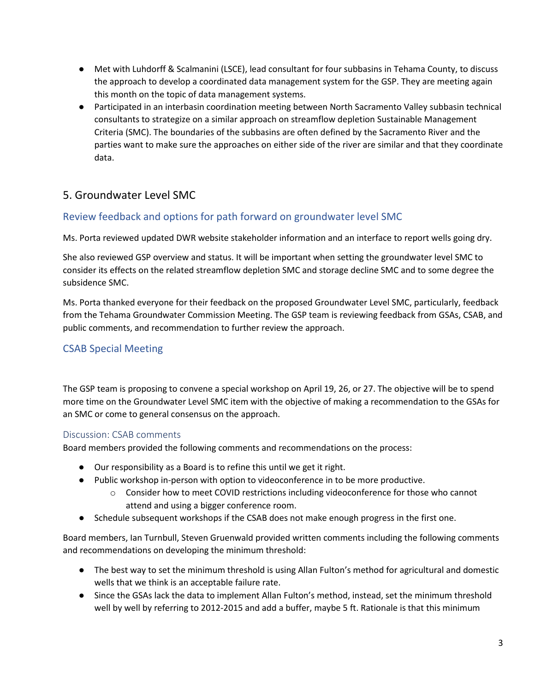- Met with Luhdorff & Scalmanini (LSCE), lead consultant for four subbasins in Tehama County, to discuss the approach to develop a coordinated data management system for the GSP. They are meeting again this month on the topic of data management systems.
- Participated in an interbasin coordination meeting between North Sacramento Valley subbasin technical consultants to strategize on a similar approach on streamflow depletion Sustainable Management Criteria (SMC). The boundaries of the subbasins are often defined by the Sacramento River and the parties want to make sure the approaches on either side of the river are similar and that they coordinate data.

# 5. Groundwater Level SMC

## Review feedback and options for path forward on groundwater level SMC

Ms. Porta reviewed updated DWR website stakeholder information and an interface to report wells going dry.

She also reviewed GSP overview and status. It will be important when setting the groundwater level SMC to consider its effects on the related streamflow depletion SMC and storage decline SMC and to some degree the subsidence SMC.

Ms. Porta thanked everyone for their feedback on the proposed Groundwater Level SMC, particularly, feedback from the Tehama Groundwater Commission Meeting. The GSP team is reviewing feedback from GSAs, CSAB, and public comments, and recommendation to further review the approach.

### CSAB Special Meeting

The GSP team is proposing to convene a special workshop on April 19, 26, or 27. The objective will be to spend more time on the Groundwater Level SMC item with the objective of making a recommendation to the GSAs for an SMC or come to general consensus on the approach.

### Discussion: CSAB comments

Board members provided the following comments and recommendations on the process:

- Our responsibility as a Board is to refine this until we get it right.
- Public workshop in-person with option to videoconference in to be more productive.
	- $\circ$  Consider how to meet COVID restrictions including videoconference for those who cannot attend and using a bigger conference room.
- Schedule subsequent workshops if the CSAB does not make enough progress in the first one.

Board members, Ian Turnbull, Steven Gruenwald provided written comments including the following comments and recommendations on developing the minimum threshold:

- The best way to set the minimum threshold is using Allan Fulton's method for agricultural and domestic wells that we think is an acceptable failure rate.
- Since the GSAs lack the data to implement Allan Fulton's method, instead, set the minimum threshold well by well by referring to 2012-2015 and add a buffer, maybe 5 ft. Rationale is that this minimum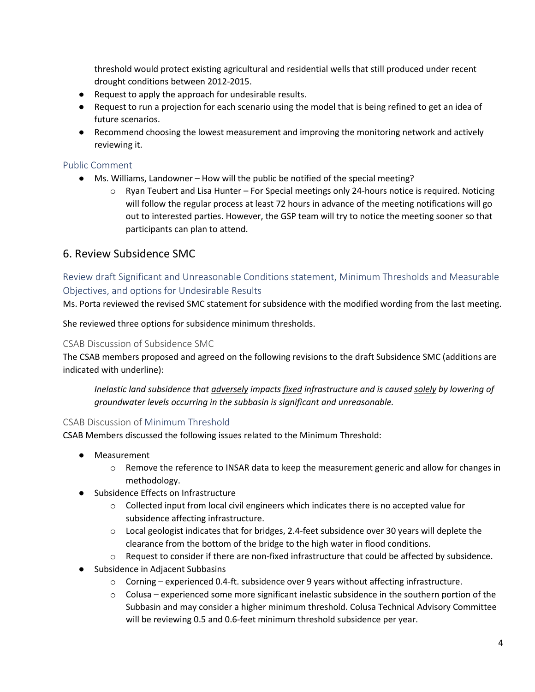threshold would protect existing agricultural and residential wells that still produced under recent drought conditions between 2012-2015.

- Request to apply the approach for undesirable results.
- Request to run a projection for each scenario using the model that is being refined to get an idea of future scenarios.
- Recommend choosing the lowest measurement and improving the monitoring network and actively reviewing it.

### Public Comment

- Ms. Williams, Landowner How will the public be notified of the special meeting?
	- $\circ$  Ryan Teubert and Lisa Hunter For Special meetings only 24-hours notice is required. Noticing will follow the regular process at least 72 hours in advance of the meeting notifications will go out to interested parties. However, the GSP team will try to notice the meeting sooner so that participants can plan to attend.

## 6. Review Subsidence SMC

### Review draft Significant and Unreasonable Conditions statement, Minimum Thresholds and Measurable Objectives, and options for Undesirable Results

Ms. Porta reviewed the revised SMC statement for subsidence with the modified wording from the last meeting.

She reviewed three options for subsidence minimum thresholds.

### CSAB Discussion of Subsidence SMC

The CSAB members proposed and agreed on the following revisions to the draft Subsidence SMC (additions are indicated with underline):

*Inelastic land subsidence that adversely impacts fixed infrastructure and is caused solely by lowering of groundwater levels occurring in the subbasin is significant and unreasonable.*

### CSAB Discussion of Minimum Threshold

CSAB Members discussed the following issues related to the Minimum Threshold:

- Measurement
	- o Remove the reference to INSAR data to keep the measurement generic and allow for changes in methodology.
- Subsidence Effects on Infrastructure
	- $\circ$  Collected input from local civil engineers which indicates there is no accepted value for subsidence affecting infrastructure.
	- o Local geologist indicates that for bridges, 2.4-feet subsidence over 30 years will deplete the clearance from the bottom of the bridge to the high water in flood conditions.
	- $\circ$  Request to consider if there are non-fixed infrastructure that could be affected by subsidence.
- Subsidence in Adjacent Subbasins
	- $\circ$  Corning experienced 0.4-ft. subsidence over 9 years without affecting infrastructure.
	- $\circ$  Colusa experienced some more significant inelastic subsidence in the southern portion of the Subbasin and may consider a higher minimum threshold. Colusa Technical Advisory Committee will be reviewing 0.5 and 0.6-feet minimum threshold subsidence per year.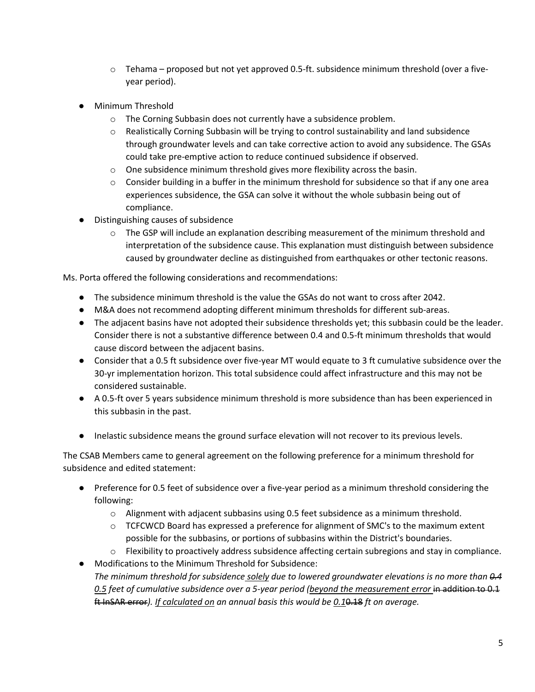- $\circ$  Tehama proposed but not yet approved 0.5-ft. subsidence minimum threshold (over a fiveyear period).
- Minimum Threshold
	- o The Corning Subbasin does not currently have a subsidence problem.
	- $\circ$  Realistically Corning Subbasin will be trying to control sustainability and land subsidence through groundwater levels and can take corrective action to avoid any subsidence. The GSAs could take pre-emptive action to reduce continued subsidence if observed.
	- $\circ$  One subsidence minimum threshold gives more flexibility across the basin.
	- $\circ$  Consider building in a buffer in the minimum threshold for subsidence so that if any one area experiences subsidence, the GSA can solve it without the whole subbasin being out of compliance.
- Distinguishing causes of subsidence
	- $\circ$  The GSP will include an explanation describing measurement of the minimum threshold and interpretation of the subsidence cause. This explanation must distinguish between subsidence caused by groundwater decline as distinguished from earthquakes or other tectonic reasons.

Ms. Porta offered the following considerations and recommendations:

- The subsidence minimum threshold is the value the GSAs do not want to cross after 2042.
- M&A does not recommend adopting different minimum thresholds for different sub-areas.
- The adjacent basins have not adopted their subsidence thresholds yet; this subbasin could be the leader. Consider there is not a substantive difference between 0.4 and 0.5-ft minimum thresholds that would cause discord between the adjacent basins.
- Consider that a 0.5 ft subsidence over five-year MT would equate to 3 ft cumulative subsidence over the 30-yr implementation horizon. This total subsidence could affect infrastructure and this may not be considered sustainable.
- A 0.5-ft over 5 years subsidence minimum threshold is more subsidence than has been experienced in this subbasin in the past.
- Inelastic subsidence means the ground surface elevation will not recover to its previous levels.

The CSAB Members came to general agreement on the following preference for a minimum threshold for subsidence and edited statement:

- Preference for 0.5 feet of subsidence over a five-year period as a minimum threshold considering the following:
	- o Alignment with adjacent subbasins using 0.5 feet subsidence as a minimum threshold.
	- $\circ$  TCFCWCD Board has expressed a preference for alignment of SMC's to the maximum extent possible for the subbasins, or portions of subbasins within the District's boundaries.
	- o Flexibility to proactively address subsidence affecting certain subregions and stay in compliance.
- Modifications to the Minimum Threshold for Subsidence: *The minimum threshold for subsidence solely due to lowered groundwater elevations is no more than 0.4 0.5 feet of cumulative subsidence over a 5-year period (beyond the measurement error* in addition to 0.1 ft InSAR error*). If calculated on an annual basis this would be 0.1*0.18 *ft on average.*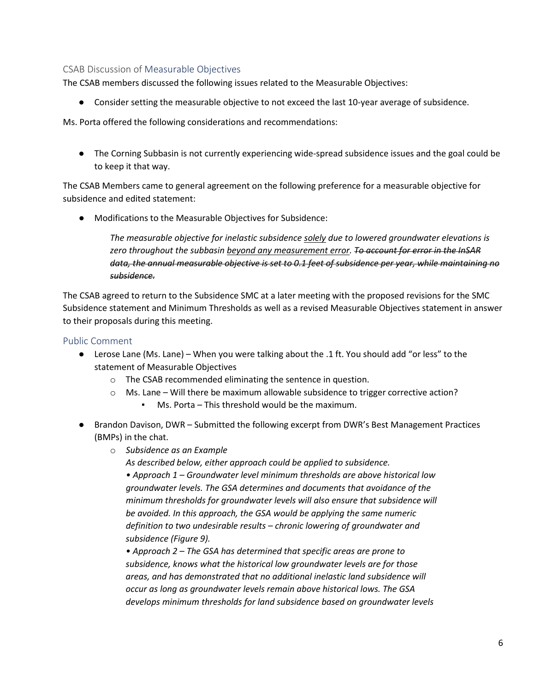### CSAB Discussion of Measurable Objectives

The CSAB members discussed the following issues related to the Measurable Objectives:

● Consider setting the measurable objective to not exceed the last 10-year average of subsidence.

Ms. Porta offered the following considerations and recommendations:

● The Corning Subbasin is not currently experiencing wide-spread subsidence issues and the goal could be to keep it that way.

The CSAB Members came to general agreement on the following preference for a measurable objective for subsidence and edited statement:

● Modifications to the Measurable Objectives for Subsidence:

*The measurable objective for inelastic subsidence solely due to lowered groundwater elevations is zero throughout the subbasin beyond any measurement error. To account for error in the InSAR data, the annual measurable objective is set to 0.1 feet of subsidence per year, while maintaining no subsidence.*

The CSAB agreed to return to the Subsidence SMC at a later meeting with the proposed revisions for the SMC Subsidence statement and Minimum Thresholds as well as a revised Measurable Objectives statement in answer to their proposals during this meeting.

#### Public Comment

- Lerose Lane (Ms. Lane) When you were talking about the .1 ft. You should add "or less" to the statement of Measurable Objectives
	- o The CSAB recommended eliminating the sentence in question.
	- $\circ$  Ms. Lane Will there be maximum allowable subsidence to trigger corrective action?
		- Ms. Porta This threshold would be the maximum.
- Brandon Davison, DWR Submitted the following excerpt from DWR's Best Management Practices (BMPs) in the chat.
	- o *Subsidence as an Example*

*As described below, either approach could be applied to subsidence. • Approach 1 – Groundwater level minimum thresholds are above historical low groundwater levels. The GSA determines and documents that avoidance of the minimum thresholds for groundwater levels will also ensure that subsidence will be avoided. In this approach, the GSA would be applying the same numeric definition to two undesirable results – chronic lowering of groundwater and subsidence (Figure 9).*

*• Approach 2 – The GSA has determined that specific areas are prone to subsidence, knows what the historical low groundwater levels are for those areas, and has demonstrated that no additional inelastic land subsidence will occur as long as groundwater levels remain above historical lows. The GSA develops minimum thresholds for land subsidence based on groundwater levels*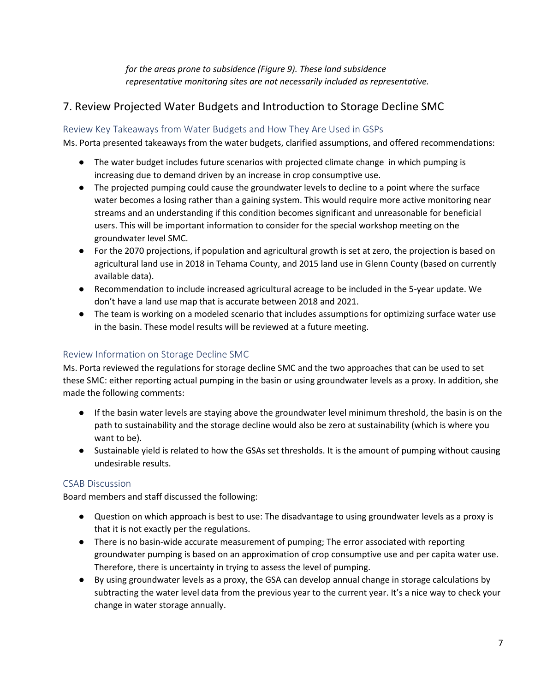*for the areas prone to subsidence (Figure 9). These land subsidence representative monitoring sites are not necessarily included as representative.*

## 7. Review Projected Water Budgets and Introduction to Storage Decline SMC

### Review Key Takeaways from Water Budgets and How They Are Used in GSPs

Ms. Porta presented takeaways from the water budgets, clarified assumptions, and offered recommendations:

- The water budget includes future scenarios with projected climate change in which pumping is increasing due to demand driven by an increase in crop consumptive use.
- The projected pumping could cause the groundwater levels to decline to a point where the surface water becomes a losing rather than a gaining system. This would require more active monitoring near streams and an understanding if this condition becomes significant and unreasonable for beneficial users. This will be important information to consider for the special workshop meeting on the groundwater level SMC.
- For the 2070 projections, if population and agricultural growth is set at zero, the projection is based on agricultural land use in 2018 in Tehama County, and 2015 land use in Glenn County (based on currently available data).
- Recommendation to include increased agricultural acreage to be included in the 5-year update. We don't have a land use map that is accurate between 2018 and 2021.
- The team is working on a modeled scenario that includes assumptions for optimizing surface water use in the basin. These model results will be reviewed at a future meeting.

### Review Information on Storage Decline SMC

Ms. Porta reviewed the regulations for storage decline SMC and the two approaches that can be used to set these SMC: either reporting actual pumping in the basin or using groundwater levels as a proxy. In addition, she made the following comments:

- If the basin water levels are staying above the groundwater level minimum threshold, the basin is on the path to sustainability and the storage decline would also be zero at sustainability (which is where you want to be).
- Sustainable yield is related to how the GSAs set thresholds. It is the amount of pumping without causing undesirable results.

### CSAB Discussion

Board members and staff discussed the following:

- Question on which approach is best to use: The disadvantage to using groundwater levels as a proxy is that it is not exactly per the regulations.
- There is no basin-wide accurate measurement of pumping; The error associated with reporting groundwater pumping is based on an approximation of crop consumptive use and per capita water use. Therefore, there is uncertainty in trying to assess the level of pumping.
- By using groundwater levels as a proxy, the GSA can develop annual change in storage calculations by subtracting the water level data from the previous year to the current year. It's a nice way to check your change in water storage annually.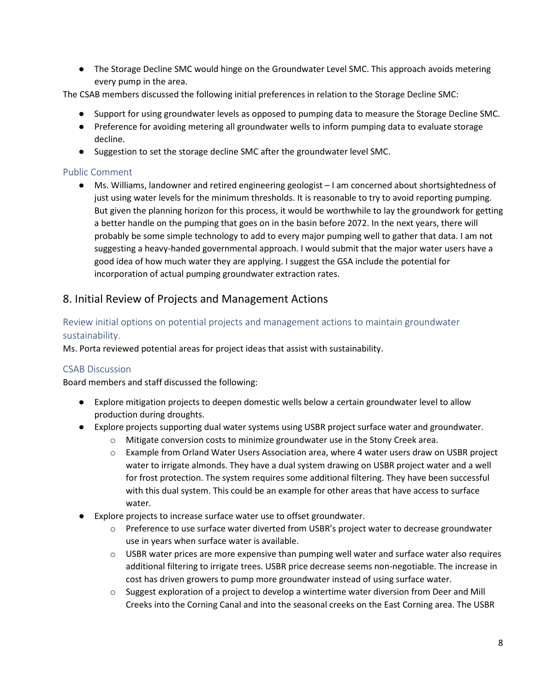● The Storage Decline SMC would hinge on the Groundwater Level SMC. This approach avoids metering every pump in the area.

The CSAB members discussed the following initial preferences in relation to the Storage Decline SMC:

- Support for using groundwater levels as opposed to pumping data to measure the Storage Decline SMC.
- Preference for avoiding metering all groundwater wells to inform pumping data to evaluate storage decline.
- Suggestion to set the storage decline SMC after the groundwater level SMC.

### Public Comment

● Ms. Williams, landowner and retired engineering geologist – I am concerned about shortsightedness of just using water levels for the minimum thresholds. It is reasonable to try to avoid reporting pumping. But given the planning horizon for this process, it would be worthwhile to lay the groundwork for getting a better handle on the pumping that goes on in the basin before 2072. In the next years, there will probably be some simple technology to add to every major pumping well to gather that data. I am not suggesting a heavy-handed governmental approach. I would submit that the major water users have a good idea of how much water they are applying. I suggest the GSA include the potential for incorporation of actual pumping groundwater extraction rates.

## 8. Initial Review of Projects and Management Actions

### Review initial options on potential projects and management actions to maintain groundwater sustainability.

Ms. Porta reviewed potential areas for project ideas that assist with sustainability.

### CSAB Discussion

Board members and staff discussed the following:

- Explore mitigation projects to deepen domestic wells below a certain groundwater level to allow production during droughts.
- Explore projects supporting dual water systems using USBR project surface water and groundwater.
	- $\circ$  Mitigate conversion costs to minimize groundwater use in the Stony Creek area.
	- o Example from Orland Water Users Association area, where 4 water users draw on USBR project water to irrigate almonds. They have a dual system drawing on USBR project water and a well for frost protection. The system requires some additional filtering. They have been successful with this dual system. This could be an example for other areas that have access to surface water.
- Explore projects to increase surface water use to offset groundwater.
	- $\circ$  Preference to use surface water diverted from USBR's project water to decrease groundwater use in years when surface water is available.
	- $\circ$  USBR water prices are more expensive than pumping well water and surface water also requires additional filtering to irrigate trees. USBR price decrease seems non-negotiable. The increase in cost has driven growers to pump more groundwater instead of using surface water.
	- $\circ$  Suggest exploration of a project to develop a wintertime water diversion from Deer and Mill Creeks into the Corning Canal and into the seasonal creeks on the East Corning area. The USBR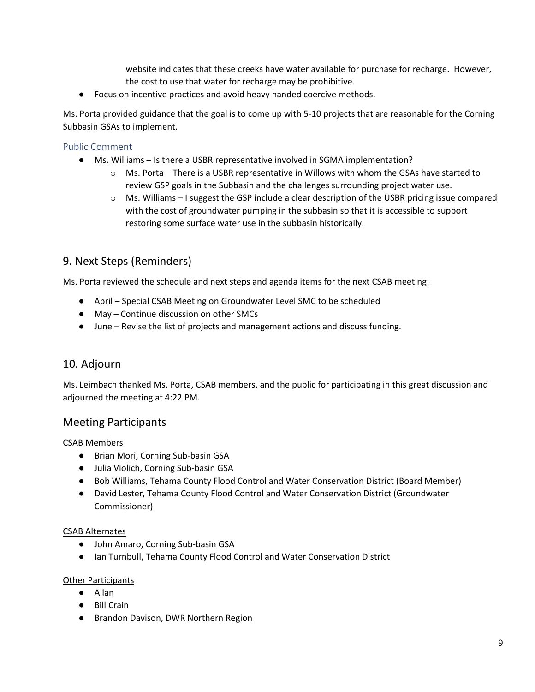website indicates that these creeks have water available for purchase for recharge. However, the cost to use that water for recharge may be prohibitive.

● Focus on incentive practices and avoid heavy handed coercive methods.

Ms. Porta provided guidance that the goal is to come up with 5-10 projects that are reasonable for the Corning Subbasin GSAs to implement.

### Public Comment

- Ms. Williams Is there a USBR representative involved in SGMA implementation?
	- $\circ$  Ms. Porta There is a USBR representative in Willows with whom the GSAs have started to review GSP goals in the Subbasin and the challenges surrounding project water use.
	- $\circ$  Ms. Williams I suggest the GSP include a clear description of the USBR pricing issue compared with the cost of groundwater pumping in the subbasin so that it is accessible to support restoring some surface water use in the subbasin historically.

## 9. Next Steps (Reminders)

Ms. Porta reviewed the schedule and next steps and agenda items for the next CSAB meeting:

- April Special CSAB Meeting on Groundwater Level SMC to be scheduled
- May Continue discussion on other SMCs
- June Revise the list of projects and management actions and discuss funding.

### 10. Adjourn

Ms. Leimbach thanked Ms. Porta, CSAB members, and the public for participating in this great discussion and adjourned the meeting at 4:22 PM.

## Meeting Participants

### CSAB Members

- Brian Mori, Corning Sub-basin GSA
- Julia Violich, Corning Sub-basin GSA
- Bob Williams, Tehama County Flood Control and Water Conservation District (Board Member)
- David Lester, Tehama County Flood Control and Water Conservation District (Groundwater Commissioner)

#### CSAB Alternates

- John Amaro, Corning Sub-basin GSA
- Ian Turnbull, Tehama County Flood Control and Water Conservation District

#### Other Participants

- Allan
- Bill Crain
- Brandon Davison, DWR Northern Region